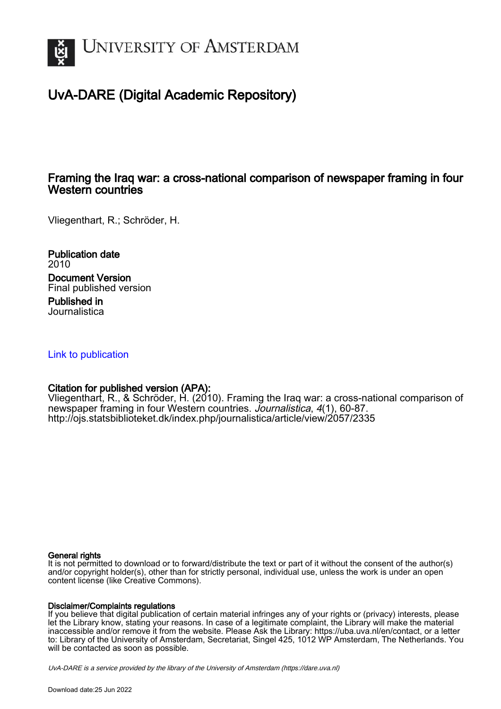

## UvA-DARE (Digital Academic Repository)

## Framing the Iraq war: a cross-national comparison of newspaper framing in four Western countries

Vliegenthart, R.; Schröder, H.

Publication date 2010 Document Version Final published version

Published in Journalistica

#### [Link to publication](https://dare.uva.nl/personal/pure/en/publications/framing-the-iraq-war-a-crossnational-comparison-of-newspaper-framing-in-four-western-countries(c7b00569-fd46-4a08-afa6-be316606348b).html)

## Citation for published version (APA):

Vliegenthart, R., & Schröder, H. (2010). Framing the Iraq war: a cross-national comparison of newspaper framing in four Western countries. Journalistica, 4(1), 60-87. <http://ojs.statsbiblioteket.dk/index.php/journalistica/article/view/2057/2335>

#### General rights

It is not permitted to download or to forward/distribute the text or part of it without the consent of the author(s) and/or copyright holder(s), other than for strictly personal, individual use, unless the work is under an open content license (like Creative Commons).

#### Disclaimer/Complaints regulations

If you believe that digital publication of certain material infringes any of your rights or (privacy) interests, please let the Library know, stating your reasons. In case of a legitimate complaint, the Library will make the material inaccessible and/or remove it from the website. Please Ask the Library: https://uba.uva.nl/en/contact, or a letter to: Library of the University of Amsterdam, Secretariat, Singel 425, 1012 WP Amsterdam, The Netherlands. You will be contacted as soon as possible.

UvA-DARE is a service provided by the library of the University of Amsterdam (http*s*://dare.uva.nl)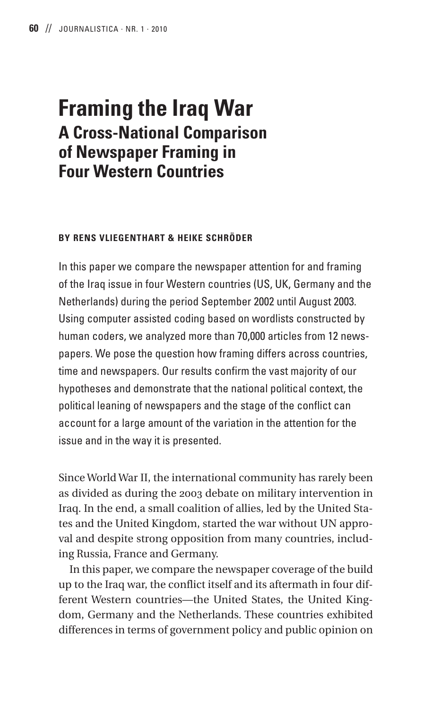# **Framing the Iraq War A Cross-National Comparison of Newspaper Framing in Four Western Countries**

#### **BY RENS VLIEGENTHART & HEIKE SCHRÖDER**

In this paper we compare the newspaper attention for and framing of the Iraq issue in four Western countries (US, UK, Germany and the Netherlands) during the period September 2002 until August 2003. Using computer assisted coding based on wordlists constructed by human coders, we analyzed more than 70,000 articles from 12 newspapers. We pose the question how framing differs across countries, time and newspapers. Our results confirm the vast majority of our hypotheses and demonstrate that the national political context, the political leaning of newspapers and the stage of the conflict can account for a large amount of the variation in the attention for the issue and in the way it is presented.

Since World War II, the international community has rarely been as divided as during the 2003 debate on military intervention in Iraq. In the end, a small coalition of allies, led by the United States and the United Kingdom, started the war without UN approval and despite strong opposition from many countries, including Russia, France and Germany.

In this paper, we compare the newspaper coverage of the build up to the Iraq war, the conflict itself and its aftermath in four different Western countries—the United States, the United Kingdom, Germany and the Netherlands. These countries exhibited differences in terms of government policy and public opinion on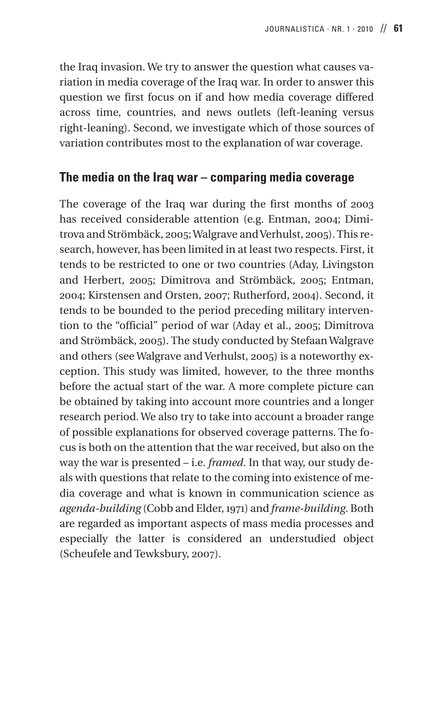the Iraq invasion. We try to answer the question what causes variation in media coverage of the Iraq war. In order to answer this question we first focus on if and how media coverage differed across time, countries, and news outlets (left-leaning versus right-leaning). Second, we investigate which of those sources of variation contributes most to the explanation of war coverage.

#### **The media on the Iraq war – comparing media coverage**

The coverage of the Iraq war during the first months of 2003 has received considerable attention (e.g. Entman, 2004; Dimitrova and Strömbäck, 2005; Walgrave and Verhulst, 2005). This research, however, has been limited in at least two respects. First, it tends to be restricted to one or two countries (Aday, Livingston and Herbert, 2005; Dimitrova and Strömbäck, 2005; Entman, 2004; Kirstensen and Orsten, 2007; Rutherford, 2004). Second, it tends to be bounded to the period preceding military intervention to the "official" period of war (Aday et al., 2005; Dimitrova and Strömbäck, 2005). The study conducted by Stefaan Walgrave and others (see Walgrave and Verhulst, 2005) is a noteworthy exception. This study was limited, however, to the three months before the actual start of the war. A more complete picture can be obtained by taking into account more countries and a longer research period. We also try to take into account a broader range of possible explanations for observed coverage patterns. The focus is both on the attention that the war received, but also on the way the war is presented – i.e. *framed*. In that way, our study deals with questions that relate to the coming into existence of media coverage and what is known in communication science as *agenda-building* (Cobb and Elder, 1971) and *frame-building*. Both are regarded as important aspects of mass media processes and especially the latter is considered an understudied object (Scheufele and Tewksbury, 2007).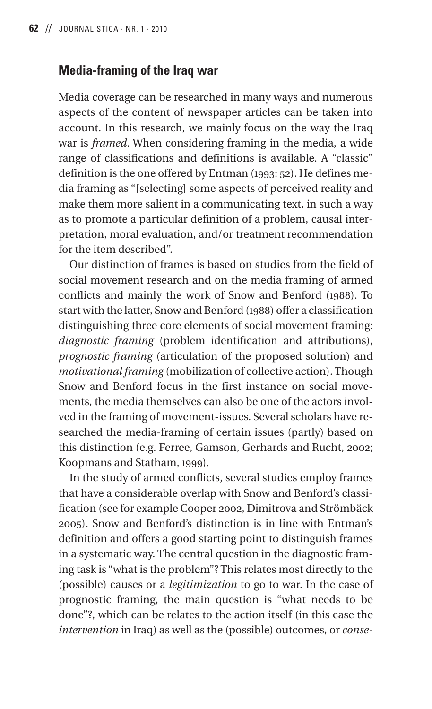#### **Media-framing of the Iraq war**

Media coverage can be researched in many ways and numerous aspects of the content of newspaper articles can be taken into account. In this research, we mainly focus on the way the Iraq war is *framed*. When considering framing in the media, a wide range of classifications and definitions is available. A "classic" definition is the one offered by Entman (1993: 52). He defines media framing as "[selecting] some aspects of perceived reality and make them more salient in a communicating text, in such a way as to promote a particular definition of a problem, causal interpretation, moral evaluation, and/or treatment recommendation for the item described".

Our distinction of frames is based on studies from the field of social movement research and on the media framing of armed conflicts and mainly the work of Snow and Benford (1988). To start with the latter, Snow and Benford (1988) offer a classification distinguishing three core elements of social movement framing: *diagnostic framing* (problem identification and attributions), *prognostic framing* (articulation of the proposed solution) and *motivational framing* (mobilization of collective action). Though Snow and Benford focus in the first instance on social movements, the media themselves can also be one of the actors involved in the framing of movement-issues. Several scholars have researched the media-framing of certain issues (partly) based on this distinction (e.g. Ferree, Gamson, Gerhards and Rucht, 2002; Koopmans and Statham, 1999).

In the study of armed conflicts, several studies employ frames that have a considerable overlap with Snow and Benford's classification (see for example Cooper 2002, Dimitrova and Strömbäck 2005). Snow and Benford's distinction is in line with Entman's definition and offers a good starting point to distinguish frames in a systematic way. The central question in the diagnostic framing task is "what is the problem"? This relates most directly to the (possible) causes or a *legitimization* to go to war. In the case of prognostic framing, the main question is "what needs to be done"?, which can be relates to the action itself (in this case the *intervention* in Iraq) as well as the (possible) outcomes, or *conse-*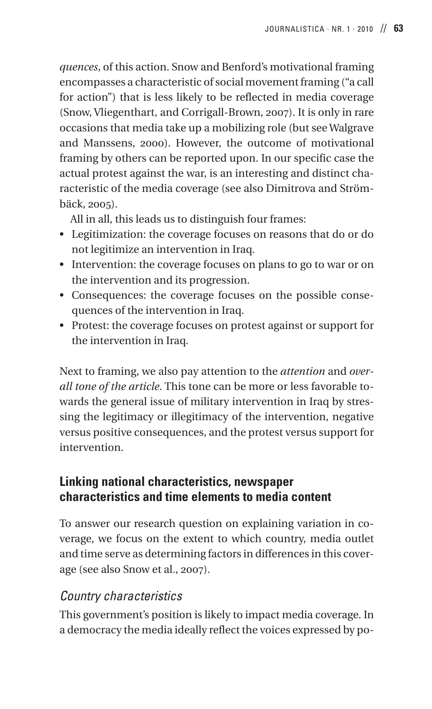*quences*, of this action. Snow and Benford's motivational framing encompasses a characteristic of social movement framing ("a call for action") that is less likely to be reflected in media coverage (Snow, Vliegenthart, and Corrigall-Brown, 2007). It is only in rare occasions that media take up a mobilizing role (but see Walgrave and Manssens, 2000). However, the outcome of motivational framing by others can be reported upon. In our specific case the actual protest against the war, is an interesting and distinct characteristic of the media coverage (see also Dimitrova and Strömbäck, 2005).

All in all, this leads us to distinguish four frames:

- Legitimization: the coverage focuses on reasons that do or do not legitimize an intervention in Iraq.
- Intervention: the coverage focuses on plans to go to war or on the intervention and its progression.
- Consequences: the coverage focuses on the possible consequences of the intervention in Iraq.
- Protest: the coverage focuses on protest against or support for the intervention in Iraq.

Next to framing, we also pay attention to the *attention* and *overall tone of the article*. This tone can be more or less favorable towards the general issue of military intervention in Iraq by stressing the legitimacy or illegitimacy of the intervention, negative versus positive consequences, and the protest versus support for intervention.

## **Linking national characteristics, newspaper characteristics and time elements to media content**

To answer our research question on explaining variation in coverage, we focus on the extent to which country, media outlet and time serve as determining factors in differences in this coverage (see also Snow et al., 2007).

## *Country characteristics*

This government's position is likely to impact media coverage. In a democracy the media ideally reflect the voices expressed by po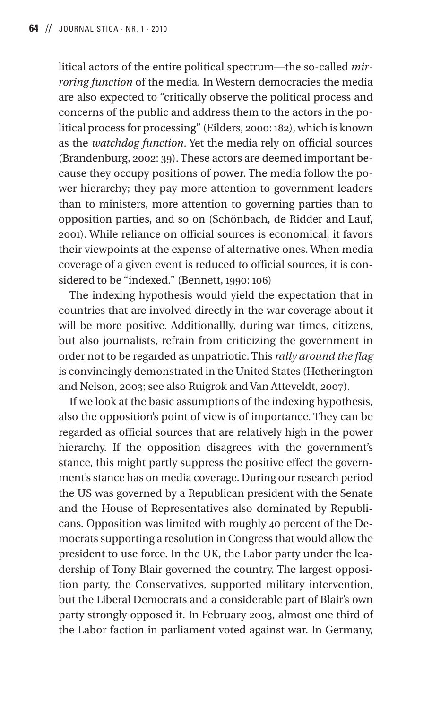litical actors of the entire political spectrum—the so-called *mirroring function* of the media. In Western democracies the media are also expected to "critically observe the political process and concerns of the public and address them to the actors in the political process for processing" (Eilders, 2000: 182), which is known as the *watchdog function*. Yet the media rely on official sources (Brandenburg, 2002: 39). These actors are deemed important because they occupy positions of power. The media follow the power hierarchy; they pay more attention to government leaders than to ministers, more attention to governing parties than to opposition parties, and so on (Schönbach, de Ridder and Lauf, 2001). While reliance on official sources is economical, it favors their viewpoints at the expense of alternative ones. When media coverage of a given event is reduced to official sources, it is considered to be "indexed." (Bennett, 1990: 106)

The indexing hypothesis would yield the expectation that in countries that are involved directly in the war coverage about it will be more positive. Additionallly, during war times, citizens, but also journalists, refrain from criticizing the government in order not to be regarded as unpatriotic. This *rally around the flag* is convincingly demonstrated in the United States (Hetherington and Nelson, 2003; see also Ruigrok and Van Atteveldt, 2007).

If we look at the basic assumptions of the indexing hypothesis, also the opposition's point of view is of importance. They can be regarded as official sources that are relatively high in the power hierarchy. If the opposition disagrees with the government's stance, this might partly suppress the positive effect the government's stance has on media coverage. During our research period the US was governed by a Republican president with the Senate and the House of Representatives also dominated by Republicans. Opposition was limited with roughly 40 percent of the Democrats supporting a resolution in Congress that would allow the president to use force. In the UK, the Labor party under the leadership of Tony Blair governed the country. The largest opposition party, the Conservatives, supported military intervention, but the Liberal Democrats and a considerable part of Blair's own party strongly opposed it. In February 2003, almost one third of the Labor faction in parliament voted against war. In Germany,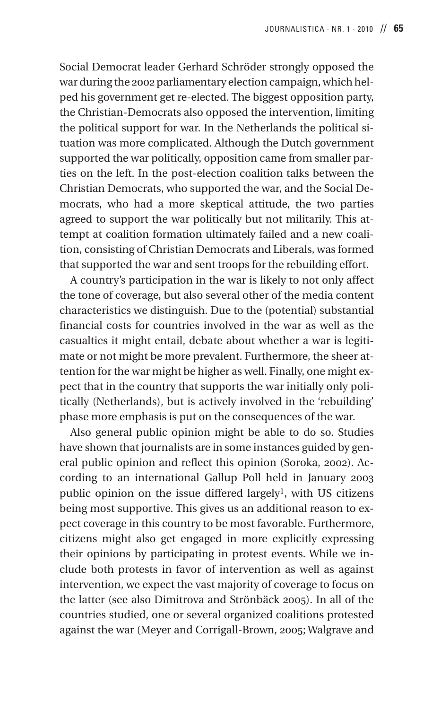Social Democrat leader Gerhard Schröder strongly opposed the war during the 2002 parliamentary election campaign, which helped his government get re-elected. The biggest opposition party, the Christian-Democrats also opposed the intervention, limiting the political support for war. In the Netherlands the political situation was more complicated. Although the Dutch government supported the war politically, opposition came from smaller parties on the left. In the post-election coalition talks between the Christian Democrats, who supported the war, and the Social Democrats, who had a more skeptical attitude, the two parties agreed to support the war politically but not militarily. This attempt at coalition formation ultimately failed and a new coalition, consisting of Christian Democrats and Liberals, was formed that supported the war and sent troops for the rebuilding effort.

A country's participation in the war is likely to not only affect the tone of coverage, but also several other of the media content characteristics we distinguish. Due to the (potential) substantial financial costs for countries involved in the war as well as the casualties it might entail, debate about whether a war is legitimate or not might be more prevalent. Furthermore, the sheer attention for the war might be higher as well. Finally, one might expect that in the country that supports the war initially only politically (Netherlands), but is actively involved in the 'rebuilding' phase more emphasis is put on the consequences of the war.

Also general public opinion might be able to do so. Studies have shown that journalists are in some instances guided by general public opinion and reflect this opinion (Soroka, 2002). According to an international Gallup Poll held in January 2003 public opinion on the issue differed largely<sup>1</sup>, with US citizens being most supportive. This gives us an additional reason to expect coverage in this country to be most favorable. Furthermore, citizens might also get engaged in more explicitly expressing their opinions by participating in protest events. While we include both protests in favor of intervention as well as against intervention, we expect the vast majority of coverage to focus on the latter (see also Dimitrova and Strönbäck 2005). In all of the countries studied, one or several organized coalitions protested against the war (Meyer and Corrigall-Brown, 2005; Walgrave and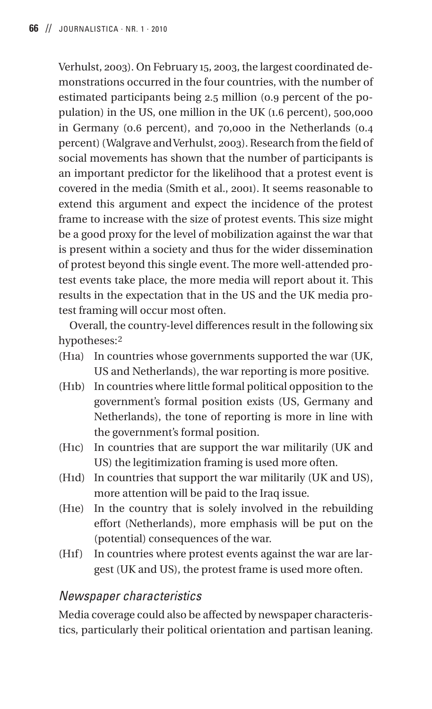Verhulst, 2003). On February 15, 2003, the largest coordinated demonstrations occurred in the four countries, with the number of estimated participants being 2.5 million (0.9 percent of the population) in the US, one million in the UK (1.6 percent), 500,000 in Germany (0.6 percent), and 70,000 in the Netherlands (0.4 percent) (Walgrave and Verhulst, 2003). Research from the field of social movements has shown that the number of participants is an important predictor for the likelihood that a protest event is covered in the media (Smith et al., 2001). It seems reasonable to extend this argument and expect the incidence of the protest frame to increase with the size of protest events. This size might be a good proxy for the level of mobilization against the war that is present within a society and thus for the wider dissemination of protest beyond this single event. The more well-attended protest events take place, the more media will report about it. This results in the expectation that in the US and the UK media protest framing will occur most often.

Overall, the country-level differences result in the following six hypotheses:2

- (H1a) In countries whose governments supported the war (UK, US and Netherlands), the war reporting is more positive.
- (H1b) In countries where little formal political opposition to the government's formal position exists (US, Germany and Netherlands), the tone of reporting is more in line with the government's formal position.
- (H1c) In countries that are support the war militarily (UK and US) the legitimization framing is used more often.
- (H1d) In countries that support the war militarily (UK and US), more attention will be paid to the Iraq issue.
- (H1e) In the country that is solely involved in the rebuilding effort (Netherlands), more emphasis will be put on the (potential) consequences of the war.
- (H1f) In countries where protest events against the war are largest (UK and US), the protest frame is used more often.

## *Newspaper characteristics*

Media coverage could also be affected by newspaper characteristics, particularly their political orientation and partisan leaning.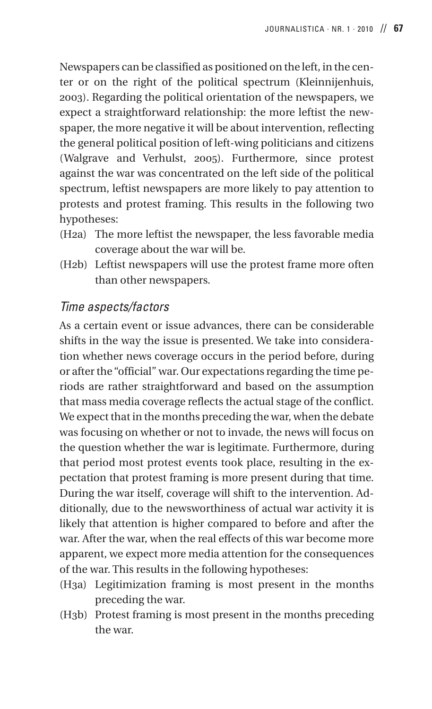Newspapers can be classified as positioned on the left, in the center or on the right of the political spectrum (Kleinnijenhuis, 2003). Regarding the political orientation of the newspapers, we expect a straightforward relationship: the more leftist the newspaper, the more negative it will be about intervention, reflecting the general political position of left-wing politicians and citizens (Walgrave and Verhulst, 2005). Furthermore, since protest against the war was concentrated on the left side of the political spectrum, leftist newspapers are more likely to pay attention to protests and protest framing. This results in the following two hypotheses:

- (H2a) The more leftist the newspaper, the less favorable media coverage about the war will be.
- (H2b) Leftist newspapers will use the protest frame more often than other newspapers.

#### *Time aspects/factors*

As a certain event or issue advances, there can be considerable shifts in the way the issue is presented. We take into consideration whether news coverage occurs in the period before, during or after the "official" war. Our expectations regarding the time periods are rather straightforward and based on the assumption that mass media coverage reflects the actual stage of the conflict. We expect that in the months preceding the war, when the debate was focusing on whether or not to invade, the news will focus on the question whether the war is legitimate. Furthermore, during that period most protest events took place, resulting in the expectation that protest framing is more present during that time. During the war itself, coverage will shift to the intervention. Additionally, due to the newsworthiness of actual war activity it is likely that attention is higher compared to before and after the war. After the war, when the real effects of this war become more apparent, we expect more media attention for the consequences of the war. This results in the following hypotheses:

- (H3a) Legitimization framing is most present in the months preceding the war.
- (H3b) Protest framing is most present in the months preceding the war.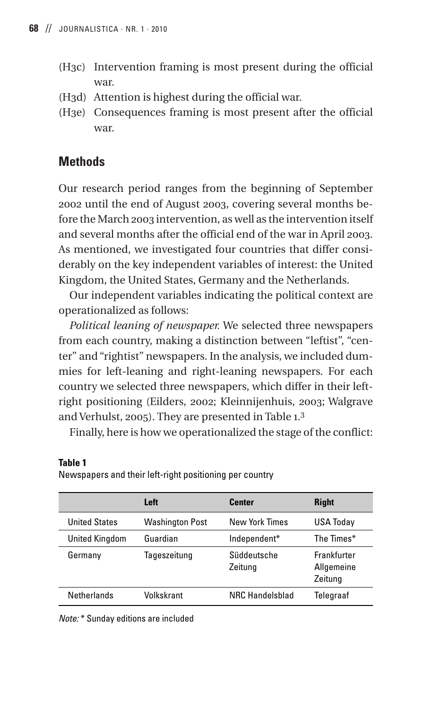- (H3c) Intervention framing is most present during the official war.
- (H3d) Attention is highest during the official war.
- (H3e) Consequences framing is most present after the official war.

## **Methods**

Our research period ranges from the beginning of September 2002 until the end of August 2003, covering several months before the March 2003 intervention, as well as the intervention itself and several months after the official end of the war in April 2003. As mentioned, we investigated four countries that differ considerably on the key independent variables of interest: the United Kingdom, the United States, Germany and the Netherlands.

Our independent variables indicating the political context are operationalized as follows:

*Political leaning of newspaper.* We selected three newspapers from each country, making a distinction between "leftist", "center" and "rightist" newspapers. In the analysis, we included dummies for left-leaning and right-leaning newspapers. For each country we selected three newspapers, which differ in their leftright positioning (Eilders, 2002; Kleinnijenhuis, 2003; Walgrave and Verhulst, 2005). They are presented in Table 1.3

Finally, here is how we operationalized the stage of the conflict:

|                       | Left                   | <b>Center</b>          | <b>Right</b>                         |
|-----------------------|------------------------|------------------------|--------------------------------------|
| <b>United States</b>  | <b>Washington Post</b> | New York Times         | <b>USA Today</b>                     |
| <b>United Kingdom</b> | Guardian               | Independent*           | The Times*                           |
| Germany               | Tageszeitung           | Süddeutsche<br>Zeitung | Frankfurter<br>Allgemeine<br>Zeitung |
| <b>Netherlands</b>    | Volkskrant             | NRC Handelsblad        | Telegraaf                            |

**Table 1**

Newspapers and their left-right positioning per country

*Note:* \* Sunday editions are included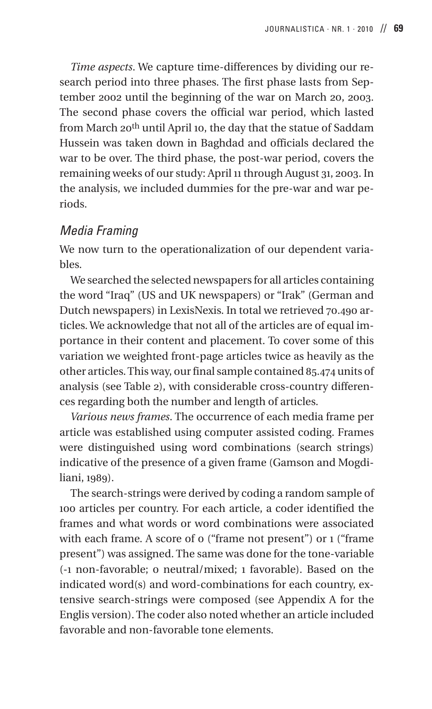*Time aspects*. We capture time-differences by dividing our research period into three phases. The first phase lasts from September 2002 until the beginning of the war on March 20, 2003. The second phase covers the official war period, which lasted from March 20<sup>th</sup> until April 10, the day that the statue of Saddam Hussein was taken down in Baghdad and officials declared the war to be over. The third phase, the post-war period, covers the remaining weeks of our study: April 11 through August 31, 2003. In the analysis, we included dummies for the pre-war and war periods.

#### *Media Framing*

We now turn to the operationalization of our dependent variables.

We searched the selected newspapers for all articles containing the word "Iraq" (US and UK newspapers) or "Irak" (German and Dutch newspapers) in LexisNexis. In total we retrieved 70.490 articles. We acknowledge that not all of the articles are of equal importance in their content and placement. To cover some of this variation we weighted front-page articles twice as heavily as the other articles. This way, our final sample contained 85.474 units of analysis (see Table 2), with considerable cross-country differences regarding both the number and length of articles.

*Various news frames*. The occurrence of each media frame per article was established using computer assisted coding. Frames were distinguished using word combinations (search strings) indicative of the presence of a given frame (Gamson and Mogdiliani, 1989).

The search-strings were derived by coding a random sample of 100 articles per country. For each article, a coder identified the frames and what words or word combinations were associated with each frame. A score of 0 ("frame not present") or 1 ("frame present") was assigned. The same was done for the tone-variable (-1 non-favorable; 0 neutral/mixed; 1 favorable). Based on the indicated word(s) and word-combinations for each country, extensive search-strings were composed (see Appendix A for the Englis version). The coder also noted whether an article included favorable and non-favorable tone elements.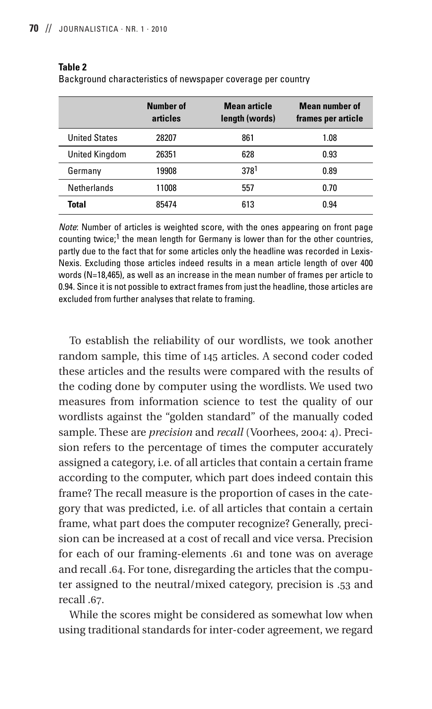|                       | Number of<br>articles | <b>Mean article</b><br>length (words) | Mean number of<br>frames per article |
|-----------------------|-----------------------|---------------------------------------|--------------------------------------|
| <b>United States</b>  | 28207                 | 861                                   | 1.08                                 |
| <b>United Kingdom</b> | 26351                 | 628                                   | 0.93                                 |
| Germany               | 19908                 | 3781                                  | 0.89                                 |
| <b>Netherlands</b>    | 11008                 | 557                                   | 0.70                                 |
| Total                 | 85474                 | 613                                   | 0.94                                 |

#### **Table 2** Background characteristics of newspaper coverage per country

*Note*: Number of articles is weighted score, with the ones appearing on front page counting twice;<sup>1</sup> the mean length for Germany is lower than for the other countries, partly due to the fact that for some articles only the headline was recorded in Lexis-Nexis. Excluding those articles indeed results in a mean article length of over 400 words (N=18,465), as well as an increase in the mean number of frames per article to 0.94. Since it is not possible to extract frames from just the headline, those articles are excluded from further analyses that relate to framing.

To establish the reliability of our wordlists, we took another random sample, this time of 145 articles. A second coder coded these articles and the results were compared with the results of the coding done by computer using the wordlists. We used two measures from information science to test the quality of our wordlists against the "golden standard" of the manually coded sample. These are *precision* and *recall* (Voorhees, 2004: 4). Precision refers to the percentage of times the computer accurately assigned a category, i.e. of all articles that contain a certain frame according to the computer, which part does indeed contain this frame? The recall measure is the proportion of cases in the category that was predicted, i.e. of all articles that contain a certain frame, what part does the computer recognize? Generally, precision can be increased at a cost of recall and vice versa. Precision for each of our framing-elements .61 and tone was on average and recall .64. For tone, disregarding the articles that the computer assigned to the neutral/mixed category, precision is .53 and recall .67.

While the scores might be considered as somewhat low when using traditional standards for inter-coder agreement, we regard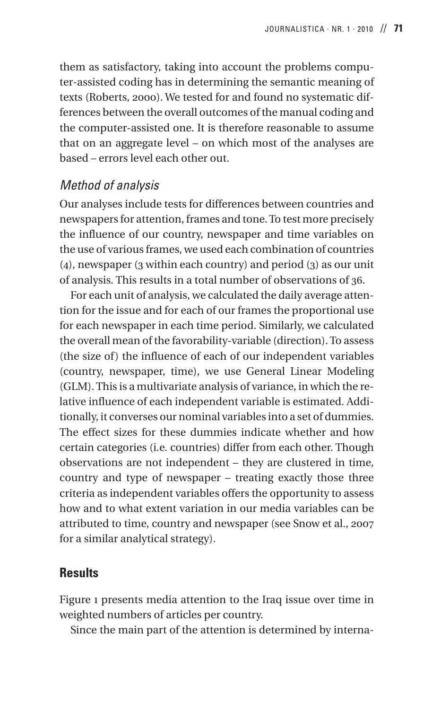them as satisfactory, taking into account the problems computer-assisted coding has in determining the semantic meaning of texts (Roberts, 2000). We tested for and found no systematic differences between the overall outcomes of the manual coding and the computer-assisted one. It is therefore reasonable to assume that on an aggregate level – on which most of the analyses are based – errors level each other out.

## *Method of analysis*

Our analyses include tests for differences between countries and newspapers for attention, frames and tone. To test more precisely the influence of our country, newspaper and time variables on the use of various frames, we used each combination of countries (4), newspaper (3 within each country) and period (3) as our unit of analysis. This results in a total number of observations of 36.

For each unit of analysis, we calculated the daily average attention for the issue and for each of our frames the proportional use for each newspaper in each time period. Similarly, we calculated the overall mean of the favorability-variable (direction). To assess (the size of) the influence of each of our independent variables (country, newspaper, time), we use General Linear Modeling (GLM). This is a multivariate analysis of variance, in which the relative influence of each independent variable is estimated. Additionally, it converses our nominal variables into a set of dummies. The effect sizes for these dummies indicate whether and how certain categories (i.e. countries) differ from each other. Though observations are not independent – they are clustered in time, country and type of newspaper – treating exactly those three criteria as independent variables offers the opportunity to assess how and to what extent variation in our media variables can be attributed to time, country and newspaper (see Snow et al., 2007 for a similar analytical strategy).

#### **Results**

Figure 1 presents media attention to the Iraq issue over time in weighted numbers of articles per country.

Since the main part of the attention is determined by interna-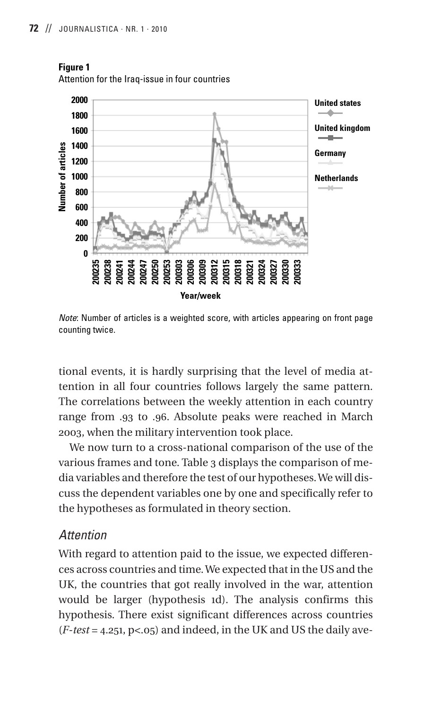

**Figure 1** Attention for the Iraq-issue in four countries

*Note*: Number of articles is a weighted score, with articles appearing on front page counting twice.

tional events, it is hardly surprising that the level of media attention in all four countries follows largely the same pattern. The correlations between the weekly attention in each country range from .93 to .96. Absolute peaks were reached in March 2003, when the military intervention took place.

We now turn to a cross-national comparison of the use of the various frames and tone. Table 3 displays the comparison of media variables and therefore the test of our hypotheses. We will discuss the dependent variables one by one and specifically refer to the hypotheses as formulated in theory section.

## *Attention*

With regard to attention paid to the issue, we expected differences across countries and time. We expected that in the US and the UK, the countries that got really involved in the war, attention would be larger (hypothesis 1d). The analysis confirms this hypothesis. There exist significant differences across countries (*F-test* = 4.251, p<.05) and indeed, in the UK and US the daily ave-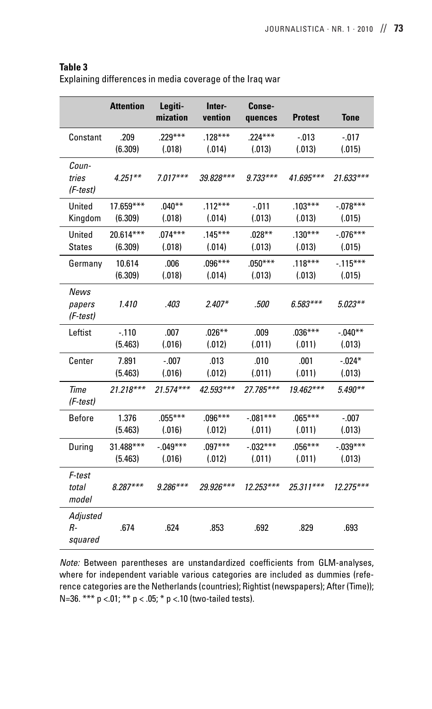#### **Table 3**

|                              | <b>Attention</b> | Legiti-<br>mization | Inter-<br>vention | Conse-<br>quences | <b>Protest</b> | <b>Tone</b> |
|------------------------------|------------------|---------------------|-------------------|-------------------|----------------|-------------|
| Constant                     | .209             | $.229***$           | $.128***$         | $.224***$         | $-.013$        | $-.017$     |
|                              | (6.309)          | (.018)              | (.014)            | (.013)            | (.013)         | (.015)      |
| Coun-<br>tries<br>(F-test)   | $4.251**$        | $7.017***$          | 39.828***         | $9.733***$        | 41.695***      | $21.633***$ |
| United                       | $17.659***$      | $.040**$            | $.112***$         | $-.011$           | $.103***$      | $-.078***$  |
| Kingdom                      | (6.309)          | (.018)              | (.014)            | (.013)            | (.013)         | (.015)      |
| United                       | $20.614***$      | $.074***$           | $.145***$         | $.028**$          | $.130***$      | $-.076***$  |
| <b>States</b>                | (6.309)          | (.018)              | (.014)            | (.013)            | (.013)         | (.015)      |
| Germany                      | 10.614           | .006                | $.096***$         | $.050***$         | $.118***$      | $-.115***$  |
|                              | (6.309)          | (.018)              | (.014)            | (.013)            | (.013)         | (.015)      |
| News<br>papers<br>(F-test)   | 1.410            | .403                | $2.407*$          | .500              | $6.583***$     | $5.023**$   |
| Leftist                      | $-110$           | .007                | $.026***$         | .009              | $.036***$      | $-.040**$   |
|                              | (5.463)          | (.016)              | (.012)            | (.011)            | (.011)         | (.013)      |
| Center                       | 7.891            | $-.007$             | .013              | .010              | .001           | $-.024*$    |
|                              | (5.463)          | (.016)              | (.012)            | (.011)            | (.011)         | (.013)      |
| Time<br>(F-test)             | $21.218***$      | $21.574***$         | 42.593***         | 27.785***         | 19.462***      | $5.490**$   |
| <b>Before</b>                | 1.376            | $.055***$           | $.096***$         | $-.081***$        | $.065***$      | $-.007$     |
|                              | (5.463)          | (.016)              | (.012)            | (.011)            | (.011)         | (.013)      |
| During                       | 31.488***        | $-.049***$          | $.097***$         | $-0.32***$        | $.056***$      | $-.039***$  |
|                              | (5.463)          | (.016)              | (.012)            | (.011)            | (.011)         | (.013)      |
| F-test<br>total<br>model     | $8.287***$       | $9.286***$          | 29.926***         | $12.253***$       | $25.311***$    | $12.275***$ |
| Adjusted<br>$R -$<br>squared | .674             | .624                | .853              | .692              | .829           | .693        |

Explaining differences in media coverage of the Iraq war

*Note:* Between parentheses are unstandardized coefficients from GLM-analyses, where for independent variable various categories are included as dummies (reference categories are the Netherlands (countries); Rightist (newspapers); After (Time)); N=36. \*\*\* p <.01; \*\* p < .05; \* p <.10 (two-tailed tests).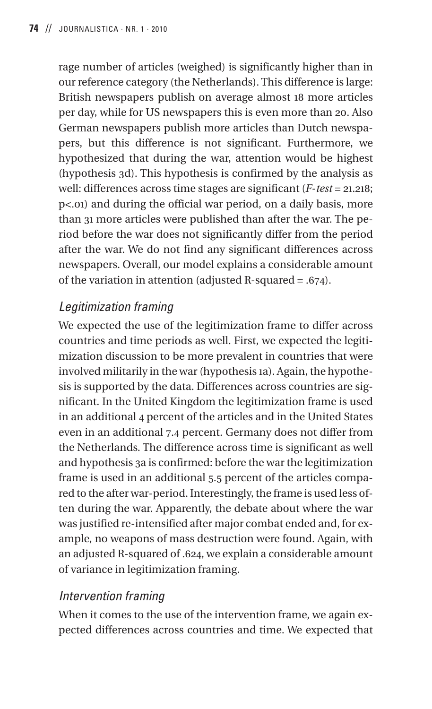rage number of articles (weighed) is significantly higher than in our reference category (the Netherlands). This difference is large: British newspapers publish on average almost 18 more articles per day, while for US newspapers this is even more than 20. Also German newspapers publish more articles than Dutch newspapers, but this difference is not significant. Furthermore, we hypothesized that during the war, attention would be highest (hypothesis 3d). This hypothesis is confirmed by the analysis as well: differences across time stages are significant (*F-test* = 21.218; p<.01) and during the official war period, on a daily basis, more than 31 more articles were published than after the war. The period before the war does not significantly differ from the period after the war. We do not find any significant differences across newspapers. Overall, our model explains a considerable amount of the variation in attention (adjusted R-squared = .674).

## *Legitimization framing*

We expected the use of the legitimization frame to differ across countries and time periods as well. First, we expected the legitimization discussion to be more prevalent in countries that were involved militarily in the war (hypothesis 1a). Again, the hypothesis is supported by the data. Differences across countries are significant. In the United Kingdom the legitimization frame is used in an additional 4 percent of the articles and in the United States even in an additional 7.4 percent. Germany does not differ from the Netherlands. The difference across time is significant as well and hypothesis 3a is confirmed: before the war the legitimization frame is used in an additional 5.5 percent of the articles compared to the after war-period. Interestingly, the frame is used less often during the war. Apparently, the debate about where the war was justified re-intensified after major combat ended and, for example, no weapons of mass destruction were found. Again, with an adjusted R-squared of .624, we explain a considerable amount of variance in legitimization framing.

## *Intervention framing*

When it comes to the use of the intervention frame, we again expected differences across countries and time. We expected that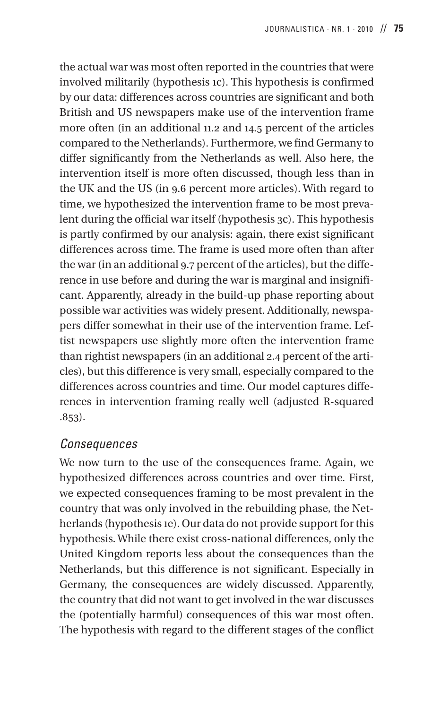the actual war was most often reported in the countries that were involved militarily (hypothesis 1c). This hypothesis is confirmed by our data: differences across countries are significant and both British and US newspapers make use of the intervention frame more often (in an additional 11.2 and 14.5 percent of the articles compared to the Netherlands). Furthermore, we find Germany to differ significantly from the Netherlands as well. Also here, the intervention itself is more often discussed, though less than in the UK and the US (in 9.6 percent more articles). With regard to time, we hypothesized the intervention frame to be most prevalent during the official war itself (hypothesis 3c). This hypothesis is partly confirmed by our analysis: again, there exist significant differences across time. The frame is used more often than after the war (in an additional 9.7 percent of the articles), but the difference in use before and during the war is marginal and insignificant. Apparently, already in the build-up phase reporting about possible war activities was widely present. Additionally, newspapers differ somewhat in their use of the intervention frame. Leftist newspapers use slightly more often the intervention frame than rightist newspapers (in an additional 2.4 percent of the articles), but this difference is very small, especially compared to the differences across countries and time. Our model captures differences in intervention framing really well (adjusted R-squared .853).

#### *Consequences*

We now turn to the use of the consequences frame. Again, we hypothesized differences across countries and over time. First, we expected consequences framing to be most prevalent in the country that was only involved in the rebuilding phase, the Netherlands (hypothesis 1e). Our data do not provide support for this hypothesis. While there exist cross-national differences, only the United Kingdom reports less about the consequences than the Netherlands, but this difference is not significant. Especially in Germany, the consequences are widely discussed. Apparently, the country that did not want to get involved in the war discusses the (potentially harmful) consequences of this war most often. The hypothesis with regard to the different stages of the conflict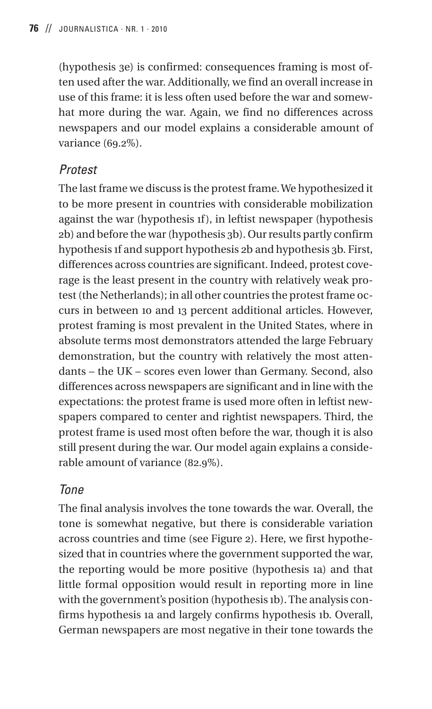(hypothesis 3e) is confirmed: consequences framing is most often used after the war. Additionally, we find an overall increase in use of this frame: it is less often used before the war and somewhat more during the war. Again, we find no differences across newspapers and our model explains a considerable amount of variance (69.2%).

## *Protest*

The last frame we discuss is the protest frame. We hypothesized it to be more present in countries with considerable mobilization against the war (hypothesis 1f), in leftist newspaper (hypothesis 2b) and before the war (hypothesis 3b). Our results partly confirm hypothesis 1f and support hypothesis 2b and hypothesis 3b. First, differences across countries are significant. Indeed, protest coverage is the least present in the country with relatively weak protest (the Netherlands); in all other countries the protest frame occurs in between 10 and 13 percent additional articles. However, protest framing is most prevalent in the United States, where in absolute terms most demonstrators attended the large February demonstration, but the country with relatively the most attendants – the UK – scores even lower than Germany. Second, also differences across newspapers are significant and in line with the expectations: the protest frame is used more often in leftist newspapers compared to center and rightist newspapers. Third, the protest frame is used most often before the war, though it is also still present during the war. Our model again explains a considerable amount of variance (82.9%).

## *Tone*

The final analysis involves the tone towards the war. Overall, the tone is somewhat negative, but there is considerable variation across countries and time (see Figure 2). Here, we first hypothesized that in countries where the government supported the war, the reporting would be more positive (hypothesis 1a) and that little formal opposition would result in reporting more in line with the government's position (hypothesis 1b). The analysis confirms hypothesis 1a and largely confirms hypothesis 1b. Overall, German newspapers are most negative in their tone towards the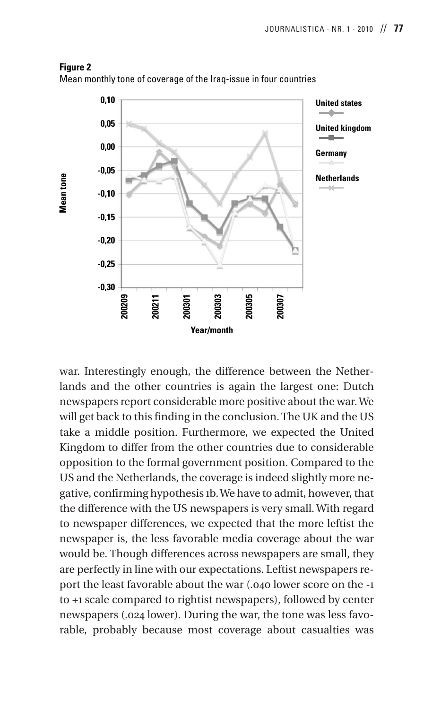

#### **Figure 2**



war. Interestingly enough, the difference between the Netherlands and the other countries is again the largest one: Dutch newspapers report considerable more positive about the war. We will get back to this finding in the conclusion. The UK and the US take a middle position. Furthermore, we expected the United Kingdom to differ from the other countries due to considerable opposition to the formal government position. Compared to the US and the Netherlands, the coverage is indeed slightly more negative, confirming hypothesis 1b. We have to admit, however, that the difference with the US newspapers is very small. With regard to newspaper differences, we expected that the more leftist the newspaper is, the less favorable media coverage about the war would be. Though differences across newspapers are small, they are perfectly in line with our expectations. Leftist newspapers report the least favorable about the war (.040 lower score on the -1 to +1 scale compared to rightist newspapers), followed by center newspapers (.024 lower). During the war, the tone was less favorable, probably because most coverage about casualties was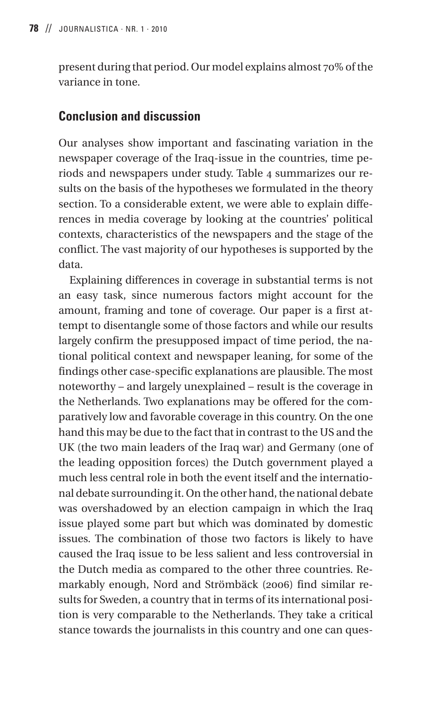present during that period. Our model explains almost 70% of the variance in tone.

#### **Conclusion and discussion**

Our analyses show important and fascinating variation in the newspaper coverage of the Iraq-issue in the countries, time periods and newspapers under study. Table 4 summarizes our results on the basis of the hypotheses we formulated in the theory section. To a considerable extent, we were able to explain differences in media coverage by looking at the countries' political contexts, characteristics of the newspapers and the stage of the conflict. The vast majority of our hypotheses is supported by the data.

Explaining differences in coverage in substantial terms is not an easy task, since numerous factors might account for the amount, framing and tone of coverage. Our paper is a first attempt to disentangle some of those factors and while our results largely confirm the presupposed impact of time period, the national political context and newspaper leaning, for some of the findings other case-specific explanations are plausible. The most noteworthy – and largely unexplained – result is the coverage in the Netherlands. Two explanations may be offered for the comparatively low and favorable coverage in this country. On the one hand this may be due to the fact that in contrast to the US and the UK (the two main leaders of the Iraq war) and Germany (one of the leading opposition forces) the Dutch government played a much less central role in both the event itself and the international debate surrounding it. On the other hand, the national debate was overshadowed by an election campaign in which the Iraq issue played some part but which was dominated by domestic issues. The combination of those two factors is likely to have caused the Iraq issue to be less salient and less controversial in the Dutch media as compared to the other three countries. Remarkably enough, Nord and Strömbäck (2006) find similar results for Sweden, a country that in terms of its international position is very comparable to the Netherlands. They take a critical stance towards the journalists in this country and one can ques-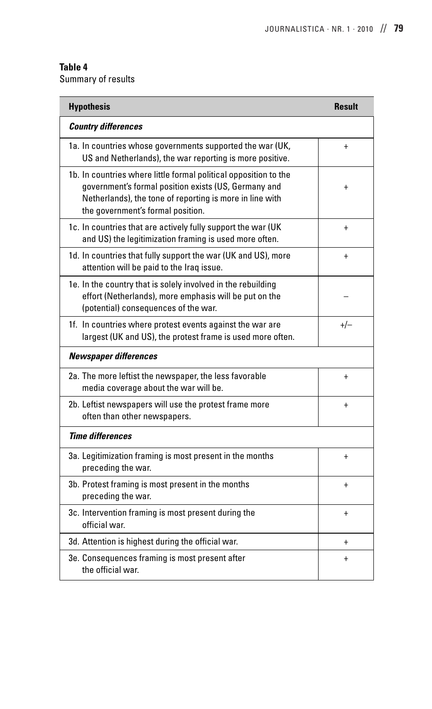#### **Table 4**

Summary of results

| <b>Hypothesis</b>                                                                                                                                                                                                         | <b>Result</b> |  |  |  |
|---------------------------------------------------------------------------------------------------------------------------------------------------------------------------------------------------------------------------|---------------|--|--|--|
| <b>Country differences</b>                                                                                                                                                                                                |               |  |  |  |
| 1a. In countries whose governments supported the war (UK,<br>US and Netherlands), the war reporting is more positive.                                                                                                     | $\ddot{}$     |  |  |  |
| 1b. In countries where little formal political opposition to the<br>government's formal position exists (US, Germany and<br>Netherlands), the tone of reporting is more in line with<br>the government's formal position. | $\ddot{}$     |  |  |  |
| 1c. In countries that are actively fully support the war (UK<br>and US) the legitimization framing is used more often.                                                                                                    | $\ddot{}$     |  |  |  |
| 1d. In countries that fully support the war (UK and US), more<br>attention will be paid to the Iraq issue.                                                                                                                | $\ddot{}$     |  |  |  |
| 1e. In the country that is solely involved in the rebuilding<br>effort (Netherlands), more emphasis will be put on the<br>(potential) consequences of the war.                                                            |               |  |  |  |
| 1f. In countries where protest events against the war are<br>largest (UK and US), the protest frame is used more often.                                                                                                   | $+/-$         |  |  |  |
| <b>Newspaper differences</b>                                                                                                                                                                                              |               |  |  |  |
| 2a. The more leftist the newspaper, the less favorable<br>media coverage about the war will be.                                                                                                                           | $\ddot{}$     |  |  |  |
| 2b. Leftist newspapers will use the protest frame more<br>often than other newspapers.                                                                                                                                    | $+$           |  |  |  |
| <b>Time differences</b>                                                                                                                                                                                                   |               |  |  |  |
| 3a. Legitimization framing is most present in the months<br>preceding the war.                                                                                                                                            | $\ddot{}$     |  |  |  |
| 3b. Protest framing is most present in the months<br>preceding the war.                                                                                                                                                   | $\ddot{}$     |  |  |  |
| 3c. Intervention framing is most present during the<br>official war.                                                                                                                                                      | $\ddot{}$     |  |  |  |
| 3d. Attention is highest during the official war.                                                                                                                                                                         | $\ddot{}$     |  |  |  |
| 3e. Consequences framing is most present after<br>the official war.                                                                                                                                                       | $\ddot{}$     |  |  |  |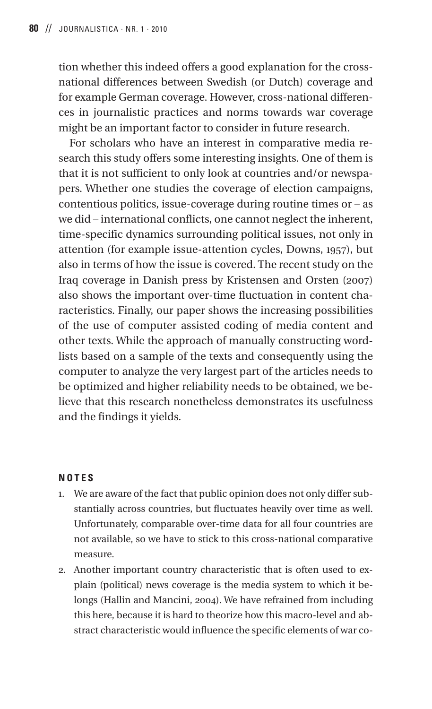tion whether this indeed offers a good explanation for the crossnational differences between Swedish (or Dutch) coverage and for example German coverage. However, cross-national differences in journalistic practices and norms towards war coverage might be an important factor to consider in future research.

For scholars who have an interest in comparative media research this study offers some interesting insights. One of them is that it is not sufficient to only look at countries and/or newspapers. Whether one studies the coverage of election campaigns, contentious politics, issue-coverage during routine times or – as we did – international conflicts, one cannot neglect the inherent, time-specific dynamics surrounding political issues, not only in attention (for example issue-attention cycles, Downs, 1957), but also in terms of how the issue is covered. The recent study on the Iraq coverage in Danish press by Kristensen and Orsten (2007) also shows the important over-time fluctuation in content characteristics. Finally, our paper shows the increasing possibilities of the use of computer assisted coding of media content and other texts. While the approach of manually constructing wordlists based on a sample of the texts and consequently using the computer to analyze the very largest part of the articles needs to be optimized and higher reliability needs to be obtained, we believe that this research nonetheless demonstrates its usefulness and the findings it yields.

#### **NOTES**

- 1. We are aware of the fact that public opinion does not only differ substantially across countries, but fluctuates heavily over time as well. Unfortunately, comparable over-time data for all four countries are not available, so we have to stick to this cross-national comparative measure.
- 2. Another important country characteristic that is often used to explain (political) news coverage is the media system to which it belongs (Hallin and Mancini, 2004). We have refrained from including this here, because it is hard to theorize how this macro-level and abstract characteristic would influence the specific elements of war co-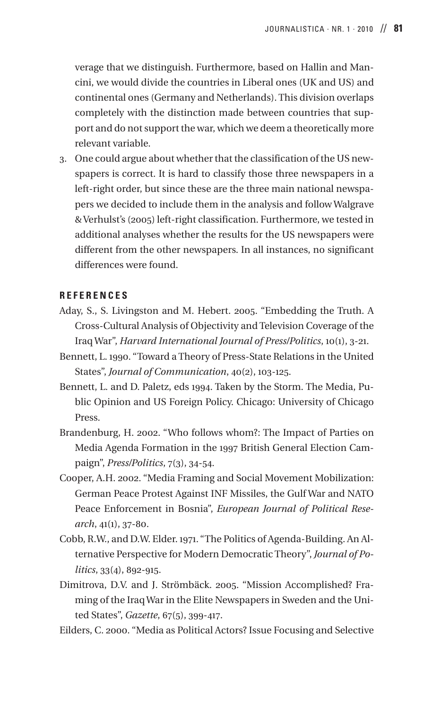verage that we distinguish. Furthermore, based on Hallin and Mancini, we would divide the countries in Liberal ones (UK and US) and continental ones (Germany and Netherlands). This division overlaps completely with the distinction made between countries that support and do not support the war, which we deem a theoretically more relevant variable.

3. One could argue about whether that the classification of the US newspapers is correct. It is hard to classify those three newspapers in a left-right order, but since these are the three main national newspapers we decided to include them in the analysis and follow Walgrave & Verhulst's (2005) left-right classification. Furthermore, we tested in additional analyses whether the results for the US newspapers were different from the other newspapers. In all instances, no significant differences were found.

#### **REFERENCES**

- Aday, S., S. Livingston and M. Hebert. 2005. "Embedding the Truth. A Cross-Cultural Analysis of Objectivity and Television Coverage of the Iraq War", *Harvard International Journal of Press/Politics*, 10(1), 3-21.
- Bennett, L. 1990. "Toward a Theory of Press-State Relations in the United States", *Journal of Communication*, 40(2), 103-125.
- Bennett, L. and D. Paletz, eds 1994. Taken by the Storm. The Media, Public Opinion and US Foreign Policy. Chicago: University of Chicago Press.
- Brandenburg, H. 2002. "Who follows whom?: The Impact of Parties on Media Agenda Formation in the 1997 British General Election Campaign", *Press/Politics*, 7(3), 34-54.
- Cooper, A.H. 2002. "Media Framing and Social Movement Mobilization: German Peace Protest Against INF Missiles, the Gulf War and NATO Peace Enforcement in Bosnia", *European Journal of Political Research*, 41(1), 37-80.
- Cobb, R.W., and D.W. Elder. 1971. "The Politics of Agenda-Building. An Alternative Perspective for Modern Democratic Theory", *Journal of Politics*, 33(4), 892-915.
- Dimitrova, D.V. and J. Strömbäck. 2005. "Mission Accomplished? Framing of the Iraq War in the Elite Newspapers in Sweden and the United States", *Gazette*, 67(5), 399-417.
- Eilders, C. 2000. "Media as Political Actors? Issue Focusing and Selective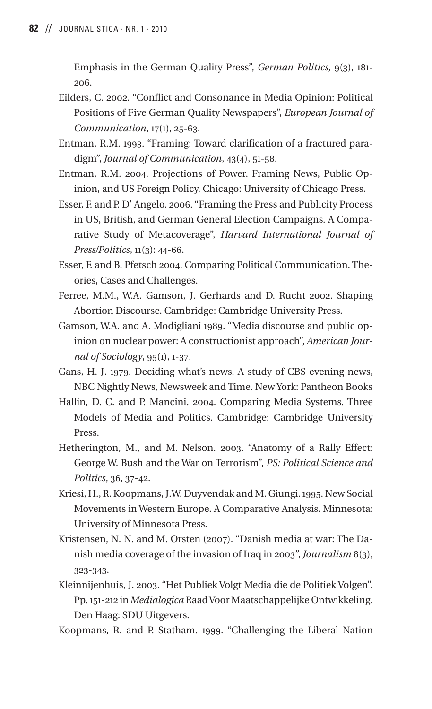Emphasis in the German Quality Press", *German Politics,* 9(3), 181- 206.

- Eilders, C. 2002. "Conflict and Consonance in Media Opinion: Political Positions of Five German Quality Newspapers", *European Journal of Communication*, 17(1), 25-63.
- Entman, R.M. 1993. "Framing: Toward clarification of a fractured paradigm", *Journal of Communication*, 43(4), 51-58.
- Entman, R.M. 2004. Projections of Power. Framing News, Public Opinion, and US Foreign Policy. Chicago: University of Chicago Press.
- Esser, F. and P. D' Angelo. 2006. "Framing the Press and Publicity Process in US, British, and German General Election Campaigns. A Comparative Study of Metacoverage", *Harvard International Journal of Press/Politics*, 11(3): 44-66.
- Esser, F. and B. Pfetsch 2004. Comparing Political Communication. Theories, Cases and Challenges.
- Ferree, M.M., W.A. Gamson, J. Gerhards and D. Rucht 2002. Shaping Abortion Discourse. Cambridge: Cambridge University Press.
- Gamson, W.A. and A. Modigliani 1989. "Media discourse and public opinion on nuclear power: A constructionist approach", *American Journal of Sociology*, 95(1), 1-37.
- Gans, H. J. 1979. Deciding what's news. A study of CBS evening news, NBC Nightly News, Newsweek and Time. New York: Pantheon Books
- Hallin, D. C. and P. Mancini. 2004. Comparing Media Systems. Three Models of Media and Politics. Cambridge: Cambridge University Press.
- Hetherington, M., and M. Nelson. 2003. "Anatomy of a Rally Effect: George W. Bush and the War on Terrorism", *PS: Political Science and Politics*, 36, 37-42.
- Kriesi, H., R. Koopmans, J.W. Duyvendak and M. Giungi. 1995. New Social Movements in Western Europe. A Comparative Analysis. Minnesota: University of Minnesota Press.
- Kristensen, N. N. and M. Orsten (2007). "Danish media at war: The Danish media coverage of the invasion of Iraq in 2003", *Journalism* 8(3), 323-343.
- Kleinnijenhuis, J. 2003. "Het Publiek Volgt Media die de Politiek Volgen". Pp. 151-212 in *Medialogica* Raad Voor Maatschappelijke Ontwikkeling. Den Haag: SDU Uitgevers.
- Koopmans, R. and P. Statham. 1999. "Challenging the Liberal Nation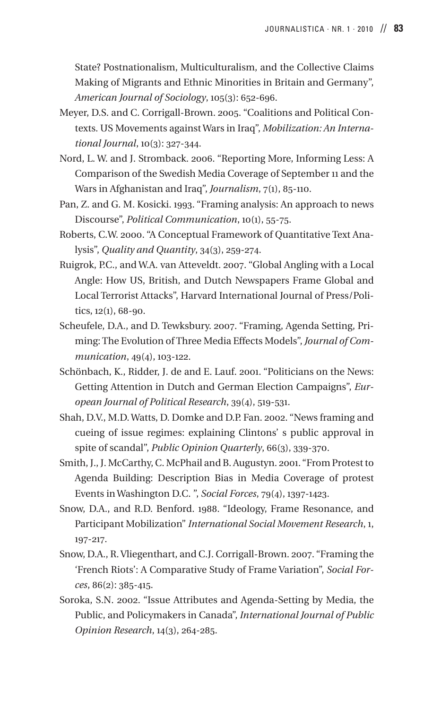State? Postnationalism, Multiculturalism, and the Collective Claims Making of Migrants and Ethnic Minorities in Britain and Germany", *American Journal of Sociology*, 105(3): 652-696.

- Meyer, D.S. and C. Corrigall-Brown. 2005. "Coalitions and Political Contexts. US Movements against Wars in Iraq", *Mobilization: An International Journal*, 10(3): 327-344.
- Nord, L. W. and J. Stromback. 2006. "Reporting More, Informing Less: A Comparison of the Swedish Media Coverage of September 11 and the Wars in Afghanistan and Iraq", *Journalism*, 7(1), 85-110.
- Pan, Z. and G. M. Kosicki. 1993. "Framing analysis: An approach to news Discourse", *Political Communication*, 10(1), 55-75.
- Roberts, C.W. 2000. "A Conceptual Framework of Quantitative Text Analysis", *Quality and Quantity*, 34(3), 259-274.
- Ruigrok, P.C., and W.A. van Atteveldt. 2007. "Global Angling with a Local Angle: How US, British, and Dutch Newspapers Frame Global and Local Terrorist Attacks", Harvard International Journal of Press/Politics, 12(1), 68-90.
- Scheufele, D.A., and D. Tewksbury. 2007. "Framing, Agenda Setting, Priming: The Evolution of Three Media Effects Models", *Journal of Communication*, 49(4), 103-122.
- Schönbach, K., Ridder, J. de and E. Lauf. 2001. "Politicians on the News: Getting Attention in Dutch and German Election Campaigns", *European Journal of Political Research*, 39(4), 519-531.
- Shah, D.V., M.D. Watts, D. Domke and D.P. Fan. 2002. "News framing and cueing of issue regimes: explaining Clintons' s public approval in spite of scandal", *Public Opinion Quarterly*, 66(3), 339-370.
- Smith, J., J. McCarthy, C. McPhail and B. Augustyn. 2001. "From Protest to Agenda Building: Description Bias in Media Coverage of protest Events in Washington D.C. ", *Social Forces*, 79(4), 1397-1423.
- Snow, D.A., and R.D. Benford. 1988. "Ideology, Frame Resonance, and Participant Mobilization" *International Social Movement Research*, 1, 197-217.
- Snow, D.A., R. Vliegenthart, and C.J. Corrigall-Brown. 2007. "Framing the 'French Riots': A Comparative Study of Frame Variation", *Social Forces*, 86(2): 385-415.
- Soroka, S.N. 2002. "Issue Attributes and Agenda-Setting by Media, the Public, and Policymakers in Canada", *International Journal of Public Opinion Research*, 14(3), 264-285.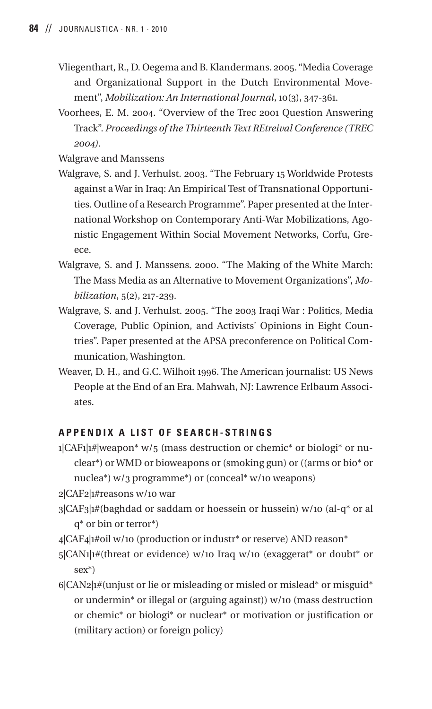- Vliegenthart, R., D. Oegema and B. Klandermans. 2005. "Media Coverage and Organizational Support in the Dutch Environmental Movement", *Mobilization: An International Journal*, 10(3), 347-361.
- Voorhees, E. M. 2004. "Overview of the Trec 2001 Question Answering Track". *Proceedings of the Thirteenth Text REtreival Conference (TREC 2004)*.

Walgrave and Manssens

- Walgrave, S. and J. Verhulst. 2003. "The February 15 Worldwide Protests against a War in Iraq: An Empirical Test of Transnational Opportunities. Outline of a Research Programme". Paper presented at the International Workshop on Contemporary Anti-War Mobilizations, Agonistic Engagement Within Social Movement Networks, Corfu, Greece.
- Walgrave, S. and J. Manssens. 2000. "The Making of the White March: The Mass Media as an Alternative to Movement Organizations", *Mobilization*, 5(2), 217-239.
- Walgrave, S. and J. Verhulst. 2005. "The 2003 Iraqi War : Politics, Media Coverage, Public Opinion, and Activists' Opinions in Eight Countries". Paper presented at the APSA preconference on Political Communication, Washington.
- Weaver, D. H., and G.C. Wilhoit 1996. The American journalist: US News People at the End of an Era. Mahwah, NJ: Lawrence Erlbaum Associates.

#### **APPENDIX A LIST OF SEARCH-STRINGS**

- 1|CAF1|1#|weapon\* w/5 (mass destruction or chemic\* or biologi\* or nuclear\*) or WMD or bioweapons or (smoking gun) or ((arms or bio\* or nuclea\*) w/3 programme\*) or (conceal\* w/10 weapons)
- 2|CAF2|1#reasons w/10 war
- 3|CAF3|1#(baghdad or saddam or hoessein or hussein) w/10 (al-q\* or al q\* or bin or terror\*)
- 4|CAF4|1#oil w/10 (production or industr\* or reserve) AND reason\*
- 5|CAN1|1#(threat or evidence) w/10 Iraq w/10 (exaggerat\* or doubt\* or sex\*)
- 6|CAN2|1#(unjust or lie or misleading or misled or mislead\* or misguid\* or undermin\* or illegal or (arguing against)) w/10 (mass destruction or chemic\* or biologi\* or nuclear\* or motivation or justification or (military action) or foreign policy)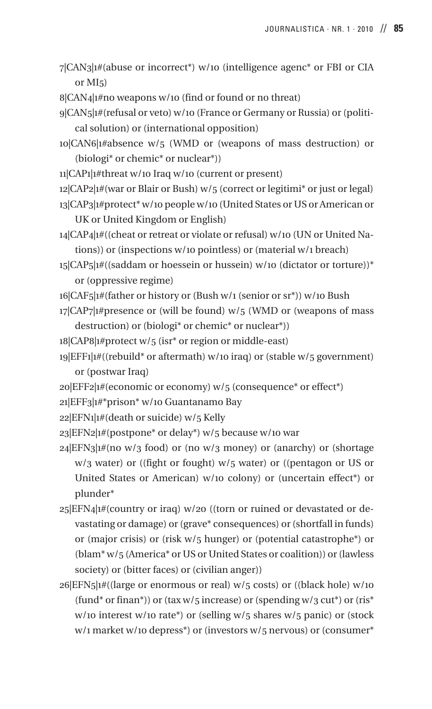- 7|CAN3|1#(abuse or incorrect\*) w/10 (intelligence agenc\* or FBI or CIA or MI5)
- 8|CAN4|1#no weapons w/10 (find or found or no threat)

9|CAN5|1#(refusal or veto) w/10 (France or Germany or Russia) or (political solution) or (international opposition)

10|CAN6|1#absence w/5 (WMD or (weapons of mass destruction) or (biologi\* or chemic\* or nuclear\*))

- 11|CAP1|1#threat w/10 Iraq w/10 (current or present)
- 12|CAP2|1#(war or Blair or Bush) w/5 (correct or legitimi\* or just or legal)

13|CAP3|1#protect\* w/10 people w/10 (United States or US or American or UK or United Kingdom or English)

- 14|CAP4|1#((cheat or retreat or violate or refusal) w/10 (UN or United Nations)) or (inspections w/10 pointless) or (material w/1 breach)
- 15|CAP5|1#((saddam or hoessein or hussein) w/10 (dictator or torture))\* or (oppressive regime)
- 16|CAF5|1#(father or history or (Bush w/1 (senior or sr\*)) w/10 Bush
- 17|CAP7|1#presence or (will be found) w/5 (WMD or (weapons of mass destruction) or (biologi\* or chemic\* or nuclear\*))
- 18|CAP8|1#protect w/5 (isr\* or region or middle-east)
- 19|EFF1|1#((rebuild\* or aftermath) w/10 iraq) or (stable w/5 government) or (postwar Iraq)
- 20|EFF2|1#(economic or economy) w/5 (consequence\* or effect\*)
- 21|EFF3|1#\*prison\* w/10 Guantanamo Bay
- 22|EFN1|1#(death or suicide) w/5 Kelly
- 23|EFN2|1#(postpone\* or delay\*) w/5 because w/10 war
- $24$ |EFN3|1#(no w/3 food) or (no w/3 money) or (anarchy) or (shortage w/3 water) or ((fight or fought) w/5 water) or ((pentagon or US or United States or American) w/10 colony) or (uncertain effect\*) or plunder\*
- 25|EFN4|1#(country or iraq) w/20 ((torn or ruined or devastated or devastating or damage) or (grave\* consequences) or (shortfall in funds) or (major crisis) or (risk w/5 hunger) or (potential catastrophe\*) or (blam\* w/5 (America\* or US or United States or coalition)) or (lawless society) or (bitter faces) or (civilian anger))
- $26|EFN_5|_4$  ((large or enormous or real) w/5 costs) or ((black hole) w/10 (fund\* or finan\*)) or (tax  $w/5$  increase) or (spending  $w/3$  cut\*) or (ris\* w/10 interest w/10 rate\*) or (selling w/5 shares w/5 panic) or (stock  $w/1$  market w/10 depress<sup>\*</sup>) or (investors  $w/5$  nervous) or (consumer<sup>\*</sup>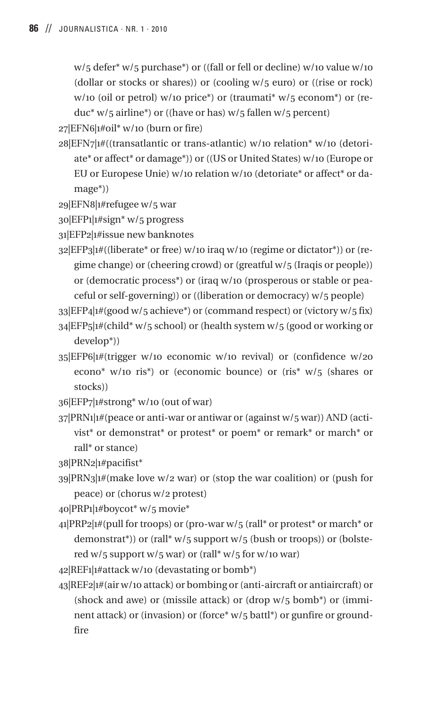w/5 defer\* w/5 purchase\*) or ((fall or fell or decline) w/10 value w/10 (dollar or stocks or shares)) or (cooling w/5 euro) or ((rise or rock)  $w/10$  (oil or petrol)  $w/10$  price\*) or (traumati\*  $w/5$  econom\*) or (re $duc* w/5 airline*)$  or ((have or has) w/5 fallen w/5 percent)

27|EFN6|1#oil\* w/10 (burn or fire)

28|EFN7|1#((transatlantic or trans-atlantic) w/10 relation\* w/10 (detoriate\* or affect\* or damage\*)) or ((US or United States) w/10 (Europe or EU or Europese Unie) w/10 relation w/10 (detoriate\* or affect\* or damage\*))

29|EFN8|1#refugee w/5 war

30|EFP1|1#sign\* w/5 progress

31|EFP2|1#issue new banknotes

32|EFP3|1#((liberate\* or free) w/10 iraq w/10 (regime or dictator\*)) or (regime change) or (cheering crowd) or (greatful w/5 (Iraqis or people)) or (democratic process\*) or (iraq w/10 (prosperous or stable or peaceful or self-governing)) or ((liberation or democracy) w/5 people)

 $33|EFP4|1#(good w/5 achieve*)$  or (command respect) or (victory w/5 fix)

- 34|EFP5|1#(child\* w/5 school) or (health system w/5 (good or working or develop\*))
- 35|EFP6|1#(trigger w/10 economic w/10 revival) or (confidence w/20 econo\* w/10 ris\*) or (economic bounce) or (ris\* w/5 (shares or stocks))

36|EFP7|1#strong\* w/10 (out of war)

37|PRN1|1#(peace or anti-war or antiwar or (against w/5 war)) AND (activist\* or demonstrat\* or protest\* or poem\* or remark\* or march\* or rall\* or stance)

38|PRN2|1#pacifist\*

39|PRN3|1#(make love w/2 war) or (stop the war coalition) or (push for peace) or (chorus w/2 protest)

40|PRP1|1#boycot\* w/5 movie\*

- $41$ |PRP2|1#(pull for troops) or (pro-war w/5 (rall\* or protest\* or march\* or demonstrat<sup>\*</sup>)) or (rall<sup>\*</sup>  $w/5$  support  $w/5$  (bush or troops)) or (bolstered w/5 support w/5 war) or (rall\* w/5 for w/10 war)
- 42|REF1|1#attack w/10 (devastating or bomb\*)
- 43|REF2|1#(air w/10 attack) or bombing or (anti-aircraft or antiaircraft) or (shock and awe) or (missile attack) or (drop w/5 bomb\*) or (imminent attack) or (invasion) or (force\* w/5 battl\*) or gunfire or groundfire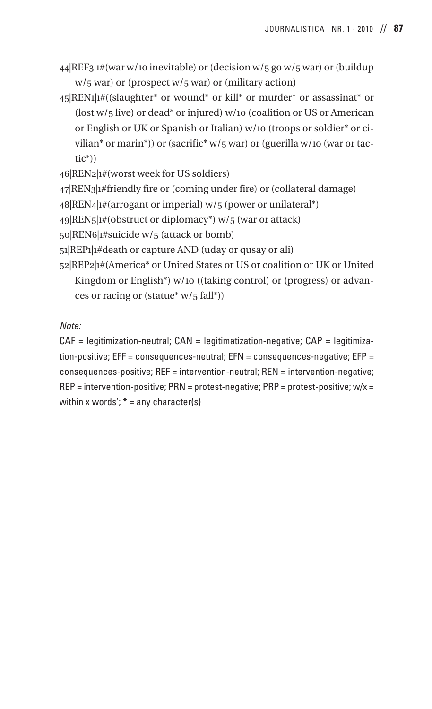- 44|REF3|1#(war w/10 inevitable) or (decision w/5 go w/5 war) or (buildup  $w/5$  war) or (prospect  $w/5$  war) or (military action)
- 45|REN1|1#((slaughter\* or wound\* or kill\* or murder\* or assassinat\* or (lost w/5 live) or dead\* or injured) w/10 (coalition or US or American or English or UK or Spanish or Italian) w/10 (troops or soldier\* or civilian\* or marin\*)) or (sacrific\* w/5 war) or (guerilla w/10 (war or tactic\*))
- 46|REN2|1#(worst week for US soldiers)
- 47|REN3|1#friendly fire or (coming under fire) or (collateral damage)
- 48|REN4|1#(arrogant or imperial) w/5 (power or unilateral\*)
- 49|REN5|1#(obstruct or diplomacy\*) w/5 (war or attack)
- 50|REN6|1#suicide w/5 (attack or bomb)
- 51|REP1|1#death or capture AND (uday or qusay or ali)
- 52|REP2|1#(America\* or United States or US or coalition or UK or United Kingdom or English\*) w/10 ((taking control) or (progress) or advances or racing or (statue\*  $w/5$  fall\*))

#### *Note:*

 $CAF =$  legitimization-neutral;  $CAN =$  legitimatization-negative;  $CAP =$  legitimization-positive;  $EFF = \text{consequences-neutral}$ ;  $EFN = \text{consequence-s-negative}$ ;  $EFP = \text{consequence}$ consequences-positive; REF = intervention-neutral; REN = intervention-negative;  $REP =$  intervention-positive; PRN = protest-negative; PRP = protest-positive; w/x = within x words';  $* =$  any character(s)